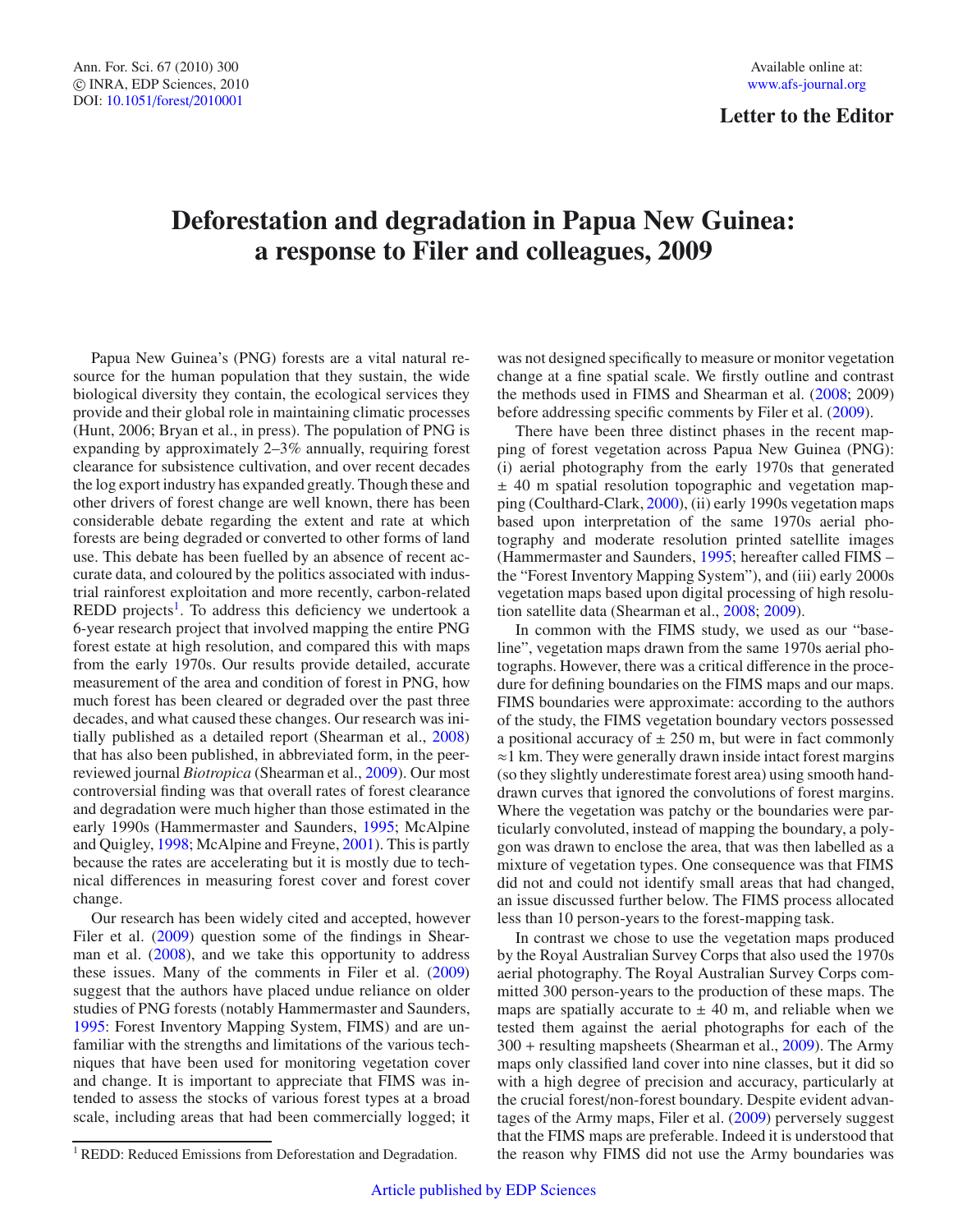## **Deforestation and degradation in Papua New Guinea: a response to Filer and colleagues, 2009**

Papua New Guinea's (PNG) forests are a vital natural resource for the human population that they sustain, the wide biological diversity they contain, the ecological services they provide and their global role in maintaining climatic processes (Hunt, 2006; Bryan et al., in press). The population of PNG is expanding by approximately 2–3% annually, requiring forest clearance for subsistence cultivation, and over recent decades the log export industry has expanded greatly. Though these and other drivers of forest change are well known, there has been considerable debate regarding the extent and rate at which forests are being degraded or converted to other forms of land use. This debate has been fuelled by an absence of recent accurate data, and coloured by the politics associated with industrial rainforest exploitation and more recently, carbon-related  $REDD$  projects<sup>1</sup>. To address this deficiency we undertook a 6-year research project that involved mapping the entire PNG forest estate at high resolution, and compared this with maps from the early 1970s. Our results provide detailed, accurate measurement of the area and condition of forest in PNG, how much forest has been cleared or degraded over the past three decades, and what caused these changes. Our research was initially published as a detailed report (Shearman et al., [2008\)](#page-3-0) that has also been published, in abbreviated form, in the peerreviewed journal *Biotropica* (Shearman et al., [2009](#page-3-1)). Our most controversial finding was that overall rates of forest clearance and degradation were much higher than those estimated in the early 1990s (Hammermaster and Saunders, [1995](#page-3-2); McAlpine and Quigley, [1998;](#page-3-3) McAlpine and Freyne, [2001\)](#page-3-4). This is partly because the rates are accelerating but it is mostly due to technical differences in measuring forest cover and forest cover change.

<span id="page-0-0"></span>Our research has been widely cited and accepted, however Filer et al. [\(2009\)](#page-3-5) question some of the findings in Shearman et al.  $(2008)$ , and we take this opportunity to address these issues. Many of the comments in Filer et al. [\(2009\)](#page-3-5) suggest that the authors have placed undue reliance on older studies of PNG forests (notably Hammermaster and Saunders, [1995:](#page-3-2) Forest Inventory Mapping System, FIMS) and are unfamiliar with the strengths and limitations of the various techniques that have been used for monitoring vegetation cover and change. It is important to appreciate that FIMS was intended to assess the stocks of various forest types at a broad scale, including areas that had been commercially logged; it

was not designed specifically to measure or monitor vegetation change at a fine spatial scale. We firstly outline and contrast the methods used in FIMS and Shearman et al. [\(2008;](#page-3-0) 2009) before addressing specific comments by Filer et al. [\(2009\)](#page-3-5).

There have been three distinct phases in the recent mapping of forest vegetation across Papua New Guinea (PNG): (i) aerial photography from the early 1970s that generated ± 40 m spatial resolution topographic and vegetation mapping (Coulthard-Clark, [2000\)](#page-3-6), (ii) early 1990s vegetation maps based upon interpretation of the same 1970s aerial photography and moderate resolution printed satellite images (Hammermaster and Saunders, [1995;](#page-3-2) hereafter called FIMS – the "Forest Inventory Mapping System"), and (iii) early 2000s vegetation maps based upon digital processing of high resolution satellite data (Shearman et al., [2008;](#page-3-0) [2009\)](#page-3-1).

In common with the FIMS study, we used as our "baseline", vegetation maps drawn from the same 1970s aerial photographs. However, there was a critical difference in the procedure for defining boundaries on the FIMS maps and our maps. FIMS boundaries were approximate: according to the authors of the study, the FIMS vegetation boundary vectors possessed a positional accuracy of  $\pm 250$  m, but were in fact commonly ≈1 km. They were generally drawn inside intact forest margins (so they slightly underestimate forest area) using smooth handdrawn curves that ignored the convolutions of forest margins. Where the vegetation was patchy or the boundaries were particularly convoluted, instead of mapping the boundary, a polygon was drawn to enclose the area, that was then labelled as a mixture of vegetation types. One consequence was that FIMS did not and could not identify small areas that had changed, an issue discussed further below. The FIMS process allocated less than 10 person-years to the forest-mapping task.

In contrast we chose to use the vegetation maps produced by the Royal Australian Survey Corps that also used the 1970s aerial photography. The Royal Australian Survey Corps committed 300 person-years to the production of these maps. The maps are spatially accurate to  $\pm$  40 m, and reliable when we tested them against the aerial photographs for each of the 300 + resulting mapsheets (Shearman et al., [2009](#page-3-1)). The Army maps only classified land cover into nine classes, but it did so with a high degree of precision and accuracy, particularly at the crucial forest/non-forest boundary. Despite evident advantages of the Army maps, Filer et al. [\(2009\)](#page-3-5) perversely suggest that the FIMS maps are preferable. Indeed it is understood that the reason why FIMS did not use the Army boundaries was

<sup>&</sup>lt;sup>1</sup> REDD: Reduced Emissions from Deforestation and Degradation.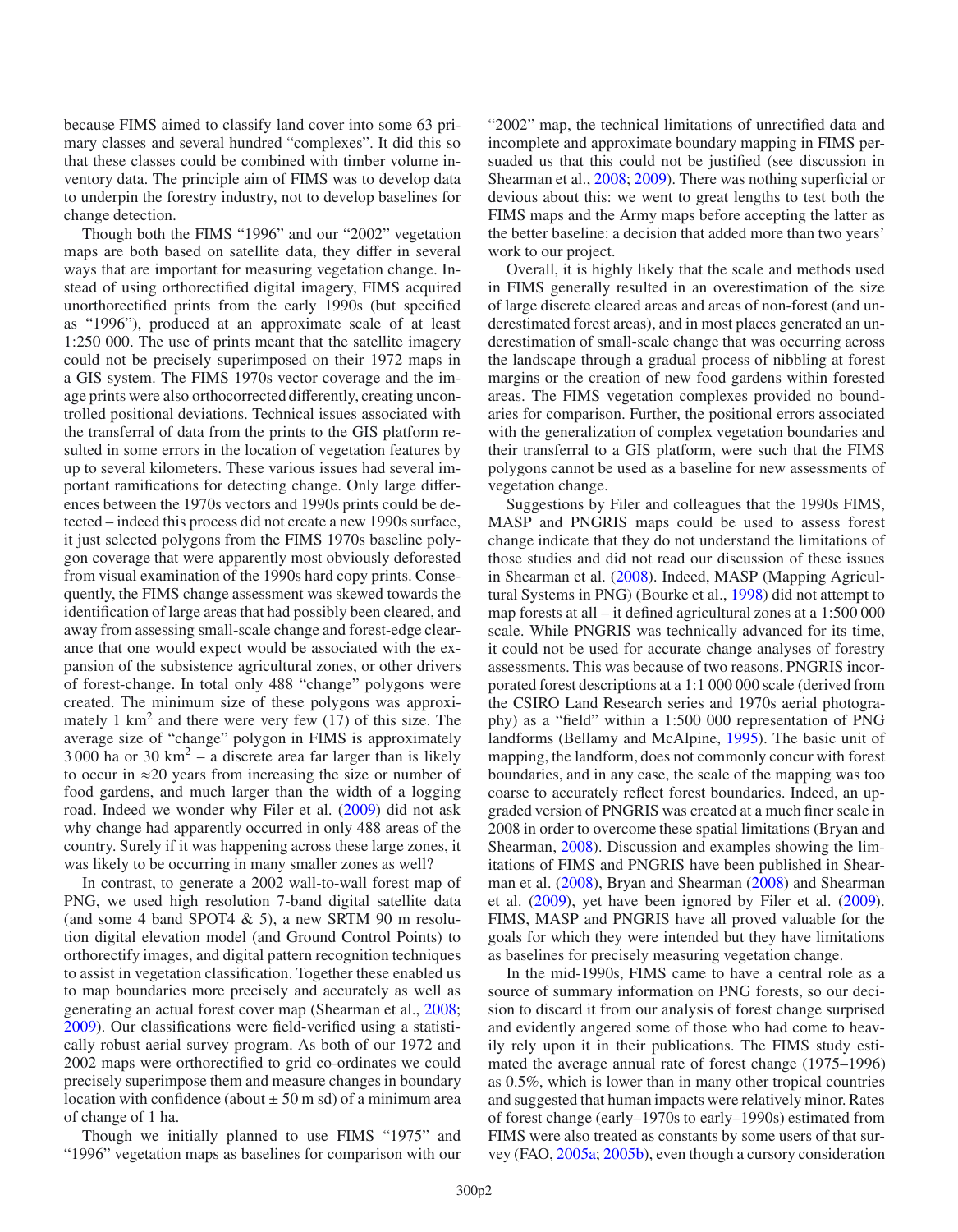because FIMS aimed to classify land cover into some 63 primary classes and several hundred "complexes". It did this so that these classes could be combined with timber volume inventory data. The principle aim of FIMS was to develop data to underpin the forestry industry, not to develop baselines for change detection.

Though both the FIMS "1996" and our "2002" vegetation maps are both based on satellite data, they differ in several ways that are important for measuring vegetation change. Instead of using orthorectified digital imagery, FIMS acquired unorthorectified prints from the early 1990s (but specified as "1996"), produced at an approximate scale of at least 1:250 000. The use of prints meant that the satellite imagery could not be precisely superimposed on their 1972 maps in a GIS system. The FIMS 1970s vector coverage and the image prints were also orthocorrected differently, creating uncontrolled positional deviations. Technical issues associated with the transferral of data from the prints to the GIS platform resulted in some errors in the location of vegetation features by up to several kilometers. These various issues had several important ramifications for detecting change. Only large differences between the 1970s vectors and 1990s prints could be detected – indeed this process did not create a new 1990s surface, it just selected polygons from the FIMS 1970s baseline polygon coverage that were apparently most obviously deforested from visual examination of the 1990s hard copy prints. Consequently, the FIMS change assessment was skewed towards the identification of large areas that had possibly been cleared, and away from assessing small-scale change and forest-edge clearance that one would expect would be associated with the expansion of the subsistence agricultural zones, or other drivers of forest-change. In total only 488 "change" polygons were created. The minimum size of these polygons was approximately 1  $km<sup>2</sup>$  and there were very few (17) of this size. The average size of "change" polygon in FIMS is approximately  $3000$  ha or  $30 \text{ km}^2$  – a discrete area far larger than is likely to occur in ≈20 years from increasing the size or number of food gardens, and much larger than the width of a logging road. Indeed we wonder why Filer et al. [\(2009\)](#page-3-5) did not ask why change had apparently occurred in only 488 areas of the country. Surely if it was happening across these large zones, it was likely to be occurring in many smaller zones as well?

In contrast, to generate a 2002 wall-to-wall forest map of PNG, we used high resolution 7-band digital satellite data (and some 4 band SPOT4  $\&$  5), a new SRTM 90 m resolution digital elevation model (and Ground Control Points) to orthorectify images, and digital pattern recognition techniques to assist in vegetation classification. Together these enabled us to map boundaries more precisely and accurately as well as generating an actual forest cover map (Shearman et al., [2008;](#page-3-0) [2009\)](#page-3-1). Our classifications were field-verified using a statistically robust aerial survey program. As both of our 1972 and 2002 maps were orthorectified to grid co-ordinates we could precisely superimpose them and measure changes in boundary location with confidence (about  $\pm$  50 m sd) of a minimum area of change of 1 ha.

Though we initially planned to use FIMS "1975" and "1996" vegetation maps as baselines for comparison with our "2002" map, the technical limitations of unrectified data and incomplete and approximate boundary mapping in FIMS persuaded us that this could not be justified (see discussion in Shearman et al., [2008](#page-3-0); [2009](#page-3-1)). There was nothing superficial or devious about this: we went to great lengths to test both the FIMS maps and the Army maps before accepting the latter as the better baseline: a decision that added more than two years' work to our project.

Overall, it is highly likely that the scale and methods used in FIMS generally resulted in an overestimation of the size of large discrete cleared areas and areas of non-forest (and underestimated forest areas), and in most places generated an underestimation of small-scale change that was occurring across the landscape through a gradual process of nibbling at forest margins or the creation of new food gardens within forested areas. The FIMS vegetation complexes provided no boundaries for comparison. Further, the positional errors associated with the generalization of complex vegetation boundaries and their transferral to a GIS platform, were such that the FIMS polygons cannot be used as a baseline for new assessments of vegetation change.

Suggestions by Filer and colleagues that the 1990s FIMS, MASP and PNGRIS maps could be used to assess forest change indicate that they do not understand the limitations of those studies and did not read our discussion of these issues in Shearman et al. [\(2008\)](#page-3-0). Indeed, MASP (Mapping Agricultural Systems in PNG) (Bourke et al., [1998](#page-3-7)) did not attempt to map forests at all – it defined agricultural zones at a 1:500 000 scale. While PNGRIS was technically advanced for its time, it could not be used for accurate change analyses of forestry assessments. This was because of two reasons. PNGRIS incorporated forest descriptions at a 1:1 000 000 scale (derived from the CSIRO Land Research series and 1970s aerial photography) as a "field" within a 1:500 000 representation of PNG landforms (Bellamy and McAlpine, [1995](#page-3-8)). The basic unit of mapping, the landform, does not commonly concur with forest boundaries, and in any case, the scale of the mapping was too coarse to accurately reflect forest boundaries. Indeed, an upgraded version of PNGRIS was created at a much finer scale in 2008 in order to overcome these spatial limitations (Bryan and Shearman, [2008\)](#page-3-9). Discussion and examples showing the limitations of FIMS and PNGRIS have been published in Shearman et al. [\(2008\)](#page-3-0), Bryan and Shearman [\(2008](#page-3-9)) and Shearman et al. [\(2009\)](#page-3-1), yet have been ignored by Filer et al. [\(2009](#page-3-5)). FIMS, MASP and PNGRIS have all proved valuable for the goals for which they were intended but they have limitations as baselines for precisely measuring vegetation change.

In the mid-1990s, FIMS came to have a central role as a source of summary information on PNG forests, so our decision to discard it from our analysis of forest change surprised and evidently angered some of those who had come to heavily rely upon it in their publications. The FIMS study estimated the average annual rate of forest change (1975–1996) as 0.5%, which is lower than in many other tropical countries and suggested that human impacts were relatively minor. Rates of forest change (early–1970s to early–1990s) estimated from FIMS were also treated as constants by some users of that survey (FAO, [2005a](#page-3-10); [2005b](#page-3-11)), even though a cursory consideration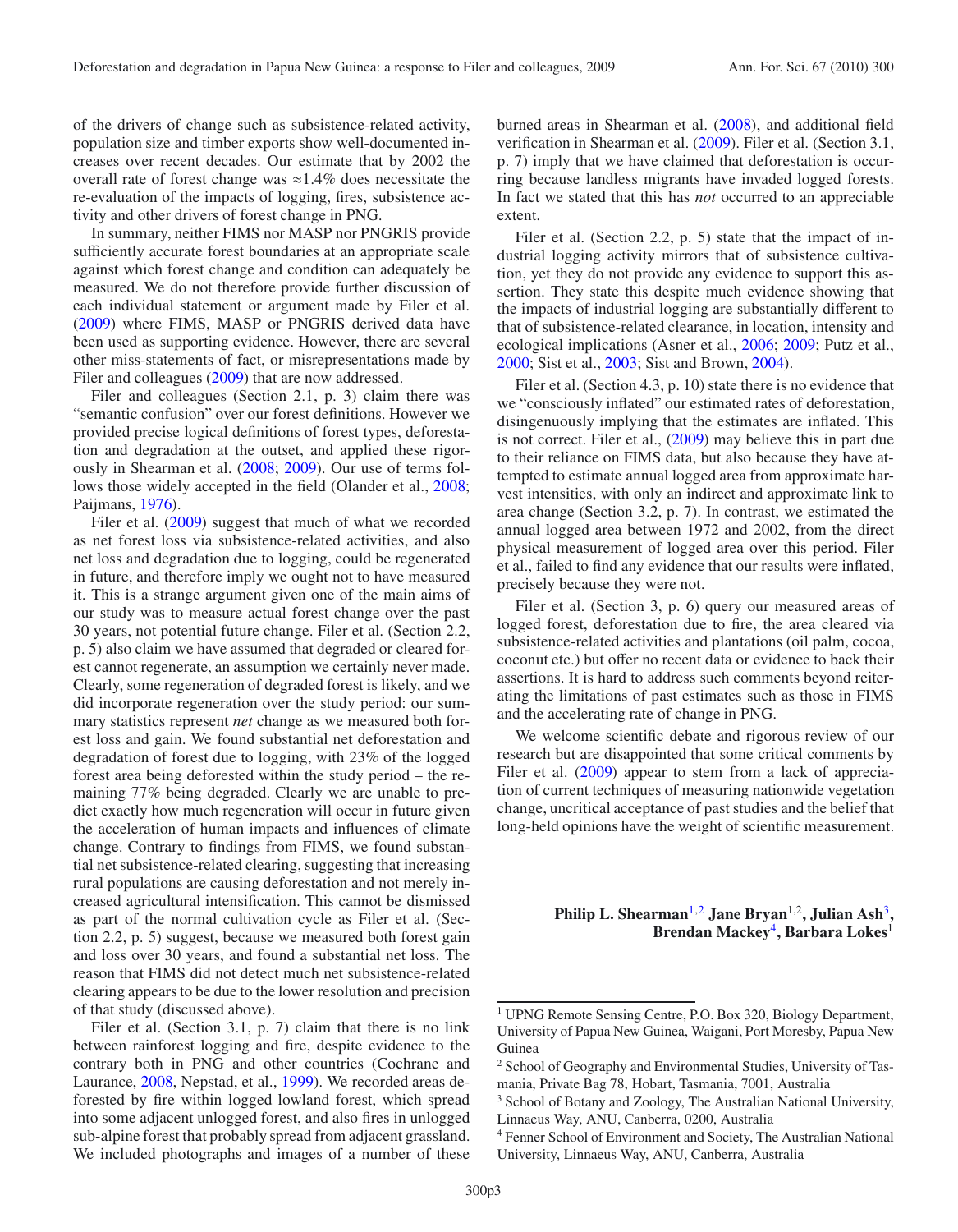of the drivers of change such as subsistence-related activity, population size and timber exports show well-documented increases over recent decades. Our estimate that by 2002 the overall rate of forest change was  $\approx 1.4\%$  does necessitate the re-evaluation of the impacts of logging, fires, subsistence activity and other drivers of forest change in PNG.

In summary, neither FIMS nor MASP nor PNGRIS provide sufficiently accurate forest boundaries at an appropriate scale against which forest change and condition can adequately be measured. We do not therefore provide further discussion of each individual statement or argument made by Filer et al. [\(2009\)](#page-3-5) where FIMS, MASP or PNGRIS derived data have been used as supporting evidence. However, there are several other miss-statements of fact, or misrepresentations made by Filer and colleagues [\(2009\)](#page-3-5) that are now addressed.

Filer and colleagues (Section 2.1, p. 3) claim there was "semantic confusion" over our forest definitions. However we provided precise logical definitions of forest types, deforestation and degradation at the outset, and applied these rigorously in Shearman et al. [\(2008;](#page-3-0) [2009\)](#page-3-1). Our use of terms follows those widely accepted in the field (Olander et al., [2008;](#page-3-12) Paijmans, [1976\)](#page-3-13).

Filer et al. [\(2009\)](#page-3-5) suggest that much of what we recorded as net forest loss via subsistence-related activities, and also net loss and degradation due to logging, could be regenerated in future, and therefore imply we ought not to have measured it. This is a strange argument given one of the main aims of our study was to measure actual forest change over the past 30 years, not potential future change. Filer et al. (Section 2.2, p. 5) also claim we have assumed that degraded or cleared forest cannot regenerate, an assumption we certainly never made. Clearly, some regeneration of degraded forest is likely, and we did incorporate regeneration over the study period: our summary statistics represent *net* change as we measured both forest loss and gain. We found substantial net deforestation and degradation of forest due to logging, with 23% of the logged forest area being deforested within the study period – the remaining 77% being degraded. Clearly we are unable to predict exactly how much regeneration will occur in future given the acceleration of human impacts and influences of climate change. Contrary to findings from FIMS, we found substantial net subsistence-related clearing, suggesting that increasing rural populations are causing deforestation and not merely increased agricultural intensification. This cannot be dismissed as part of the normal cultivation cycle as Filer et al. (Section 2.2, p. 5) suggest, because we measured both forest gain and loss over 30 years, and found a substantial net loss. The reason that FIMS did not detect much net subsistence-related clearing appears to be due to the lower resolution and precision of that study (discussed above).

Filer et al. (Section 3.1, p. 7) claim that there is no link between rainforest logging and fire, despite evidence to the contrary both in PNG and other countries (Cochrane and Laurance, [2008,](#page-3-14) Nepstad, et al., [1999\)](#page-3-15). We recorded areas deforested by fire within logged lowland forest, which spread into some adjacent unlogged forest, and also fires in unlogged sub-alpine forest that probably spread from adjacent grassland. We included photographs and images of a number of these

burned areas in Shearman et al. [\(2008\)](#page-3-0), and additional field verification in Shearman et al. [\(2009](#page-3-1)). Filer et al. (Section 3.1, p. 7) imply that we have claimed that deforestation is occurring because landless migrants have invaded logged forests. In fact we stated that this has *not* occurred to an appreciable extent.

Filer et al. (Section 2.2, p. 5) state that the impact of industrial logging activity mirrors that of subsistence cultivation, yet they do not provide any evidence to support this assertion. They state this despite much evidence showing that the impacts of industrial logging are substantially different to that of subsistence-related clearance, in location, intensity and ecological implications (Asner et al., [2006;](#page-3-16) [2009;](#page-3-17) Putz et al., [2000;](#page-3-18) Sist et al., [2003;](#page-3-19) Sist and Brown, [2004\)](#page-3-20).

Filer et al. (Section 4.3, p. 10) state there is no evidence that we "consciously inflated" our estimated rates of deforestation, disingenuously implying that the estimates are inflated. This is not correct. Filer et al., [\(2009\)](#page-3-5) may believe this in part due to their reliance on FIMS data, but also because they have attempted to estimate annual logged area from approximate harvest intensities, with only an indirect and approximate link to area change (Section 3.2, p. 7). In contrast, we estimated the annual logged area between 1972 and 2002, from the direct physical measurement of logged area over this period. Filer et al., failed to find any evidence that our results were inflated, precisely because they were not.

Filer et al. (Section 3, p. 6) query our measured areas of logged forest, deforestation due to fire, the area cleared via subsistence-related activities and plantations (oil palm, cocoa, coconut etc.) but offer no recent data or evidence to back their assertions. It is hard to address such comments beyond reiterating the limitations of past estimates such as those in FIMS and the accelerating rate of change in PNG.

<span id="page-2-1"></span><span id="page-2-0"></span>We welcome scientific debate and rigorous review of our research but are disappointed that some critical comments by Filer et al. [\(2009\)](#page-3-5) appear to stem from a lack of appreciation of current techniques of measuring nationwide vegetation change, uncritical acceptance of past studies and the belief that long-held opinions have the weight of scientific measurement.

> <span id="page-2-2"></span>**Philip L. Shearman**[1](#page-2-0),[2](#page-2-1) **Jane Bryan**<sup>1</sup>,<sup>2</sup>**, Julian Ash**[3](#page-2-2)**, Brendan Mackey**[4](#page-2-3)**, Barbara Lokes**<sup>1</sup>

<span id="page-2-3"></span><sup>&</sup>lt;sup>1</sup> UPNG Remote Sensing Centre, P.O. Box 320, Biology Department, University of Papua New Guinea, Waigani, Port Moresby, Papua New Guinea

<sup>2</sup> School of Geography and Environmental Studies, University of Tasmania, Private Bag 78, Hobart, Tasmania, 7001, Australia

<sup>3</sup> School of Botany and Zoology, The Australian National University, Linnaeus Way, ANU, Canberra, 0200, Australia

<sup>4</sup> Fenner School of Environment and Society, The Australian National University, Linnaeus Way, ANU, Canberra, Australia